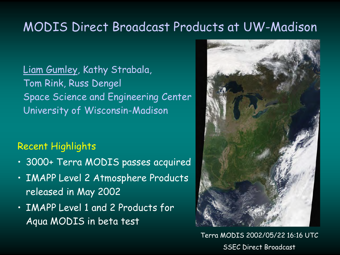### MODIS Direct Broadcast Products at UW-Madison

Liam Gumley, Kathy Strabala, Tom Rink, Russ Dengel Space Science and Engineering Center University of Wisconsin-Madison

#### Recent Highlights

- 3000+ Terra MODIS passes acquired
- IMAPP Level 2 Atmosphere Products released in May 2002
- IMAPP Level 1 and 2 Products for Aqua MODIS in beta test



Terra MODIS 2002/05/22 16:16 UTC SSEC Direct Broadcast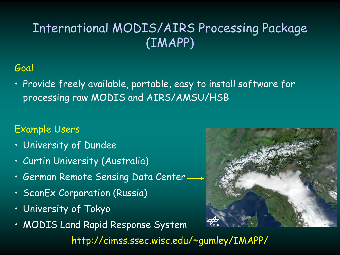# International MODIS/AIRS Processing Package (IMAPP)

### Goal

• Provide freely available, portable, easy to install software for processing raw MODIS and AIRS/AMSU/HSB

### Example Users

- University of Dundee
- Curtin University (Australia)
- German Remote Sensing Data Center
- ScanEx Corporation (Russia)
- University of Tokyo
- MODIS Land Rapid Response System



http://cimss.ssec.wisc.edu/~gumley/IMAPP/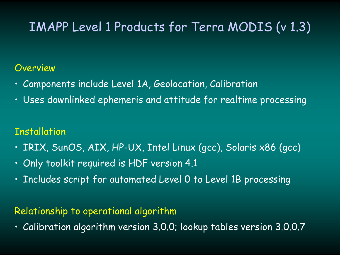# IMAPP Level 1 Products for Terra MODIS (v 1.3)

#### Overview

- Components include Level 1A, Geolocation, Calibration
- Uses downlinked ephemeris and attitude for realtime processing

### **Installation**

- IRIX, SunOS, AIX, HP-UX, Intel Linux (gcc), Solaris x86 (gcc)
- Only toolkit required is HDF version 4.1
- Includes script for automated Level 0 to Level 1B processing

#### Relationship to operational algorithm

• Calibration algorithm version 3.0.0; lookup tables version 3.0.0.7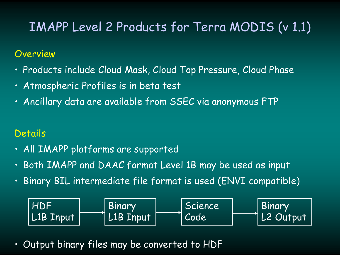# IMAPP Level 2 Products for Terra MODIS (v 1.1)

#### Overview

- Products include Cloud Mask, Cloud Top Pressure, Cloud Phase
- Atmospheric Profiles is in beta test
- Ancillary data are available from SSEC via anonymous FTP

### **Details**

- All IMAPP platforms are supported
- Both IMAPP and DAAC format Level 1B may be used as input
- Binary BIL intermediate file format is used (ENVI compatible)



• Output binary files may be converted to HDF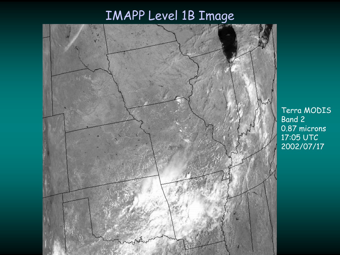# IMAPP Level 1B Image



Terra MODIS Band 2 0.87 microns 17:05 UTC 2002/07/17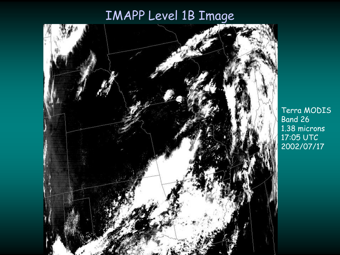# IMAPP Level 1B Image



Terra MODIS Band 26 1.38 microns 17:05 UTC 2002/07/17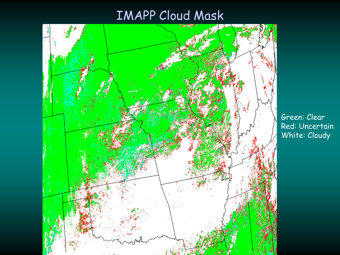## IMAPP Cloud Mask



Green: Clear Red: Uncertain White: Cloudy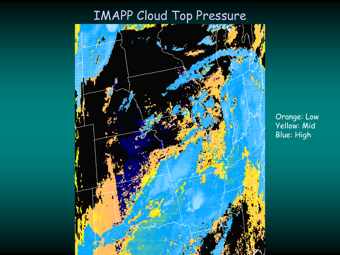# IMAPP Cloud Top Pressure



Orange: Low Yellow: Mid Blue: High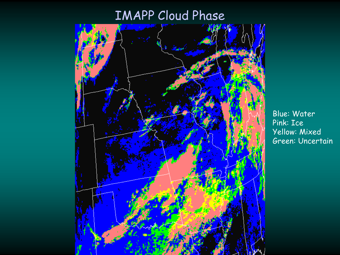# IMAPP Cloud Phase



Blue: Water Pink: Ice Yellow: Mixed Green: Uncertain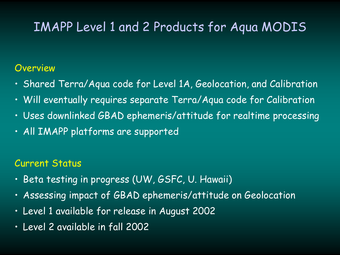### IMAPP Level 1 and 2 Products for Aqua MODIS

#### **Overview**

- Shared Terra/Aqua code for Level 1A, Geolocation, and Calibration
- Will eventually requires separate Terra/Aqua code for Calibration
- Uses downlinked GBAD ephemeris/attitude for realtime processing
- All IMAPP platforms are supported

#### Current Status

- Beta testing in progress (UW, GSFC, U. Hawaii)
- Assessing impact of GBAD ephemeris/attitude on Geolocation
- Level 1 available for release in August 2002
- Level 2 available in fall 2002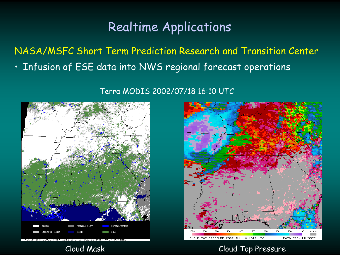## Realtime Applications

NASA/MSFC Short Term Prediction Research and Transition Center • Infusion of ESE data into NWS regional forecast operations

Terra MODIS 2002/07/18 16:10 UTC





Cloud Mask Cloud Top Pressure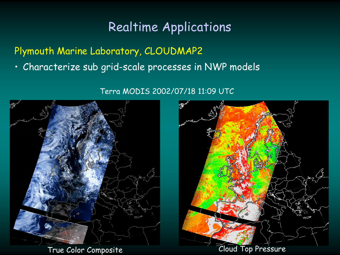## Realtime Applications

Plymouth Marine Laboratory, CLOUDMAP2

• Characterize sub grid-scale processes in NWP models

Terra MODIS 2002/07/18 11:09 UTC